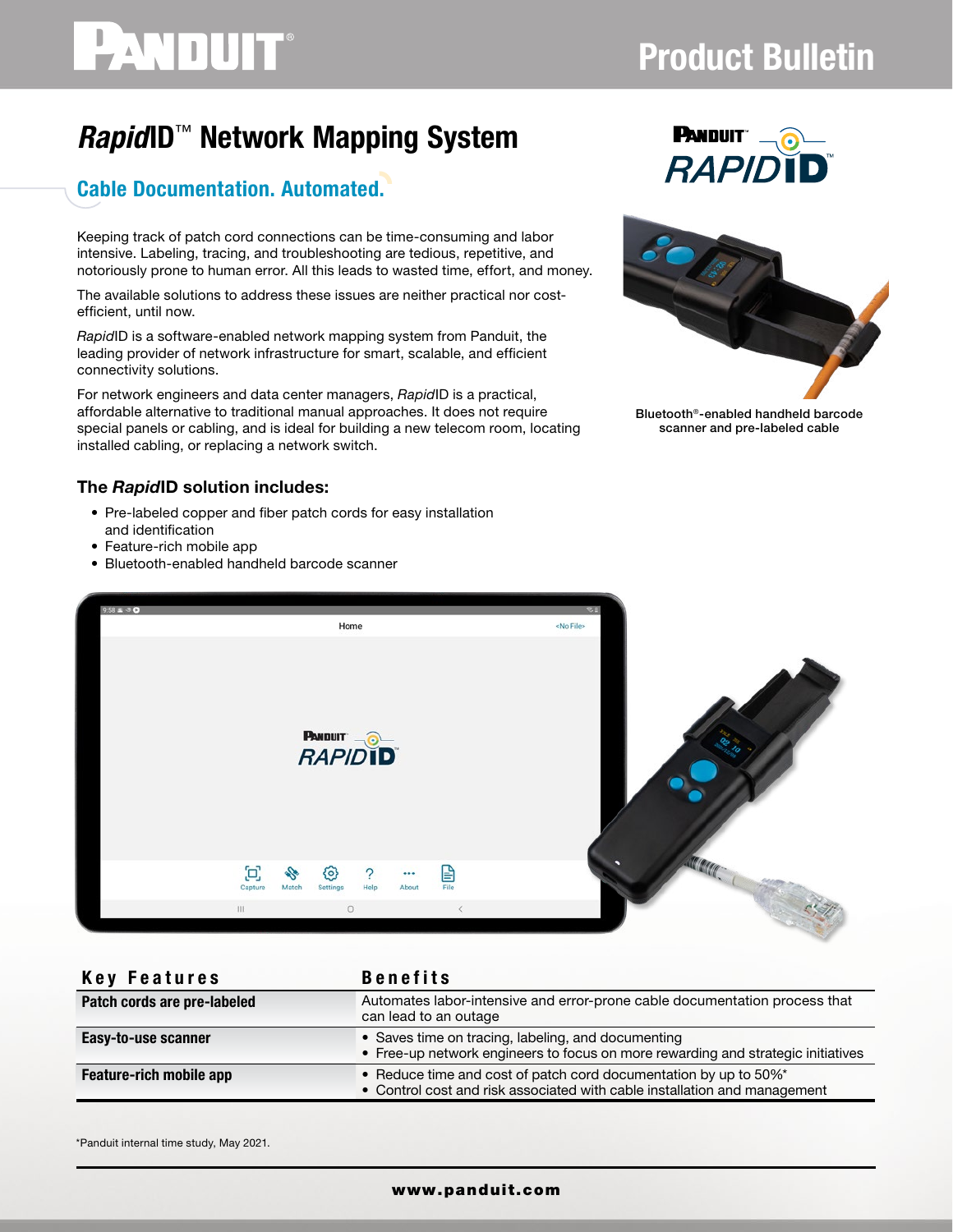# PANDUIT®

## Product Bulletin

### *Rapid*ID™ Network Mapping System

### Cable Documentation. Automated.

Keeping track of patch cord connections can be time-consuming and labor intensive. Labeling, tracing, and troubleshooting are tedious, repetitive, and notoriously prone to human error. All this leads to wasted time, effort, and money.

The available solutions to address these issues are neither practical nor costefficient, until now.

*Rapid*ID is a software-enabled network mapping system from Panduit, the leading provider of network infrastructure for smart, scalable, and efficient connectivity solutions.

For network engineers and data center managers, *Rapid*ID is a practical, affordable alternative to traditional manual approaches. It does not require special panels or cabling, and is ideal for building a new telecom room, locating installed cabling, or replacing a network switch.

#### The *Rapid*ID solution includes:

- Pre-labeled copper and fiber patch cords for easy installation and identification
- Feature-rich mobile app
- Bluetooth-enabled handheld barcode scanner





Bluetooth®-enabled handheld barcode scanner and pre-labeled cable



| Key Features                | <b>Benefits</b>                                                                                                                               |
|-----------------------------|-----------------------------------------------------------------------------------------------------------------------------------------------|
| Patch cords are pre-labeled | Automates labor-intensive and error-prone cable documentation process that<br>can lead to an outage                                           |
| Easy-to-use scanner         | • Saves time on tracing, labeling, and documenting<br>• Free-up network engineers to focus on more rewarding and strategic initiatives        |
| Feature-rich mobile app     | • Reduce time and cost of patch cord documentation by up to 50%*<br>• Control cost and risk associated with cable installation and management |

\*Panduit internal time study, May 2021.